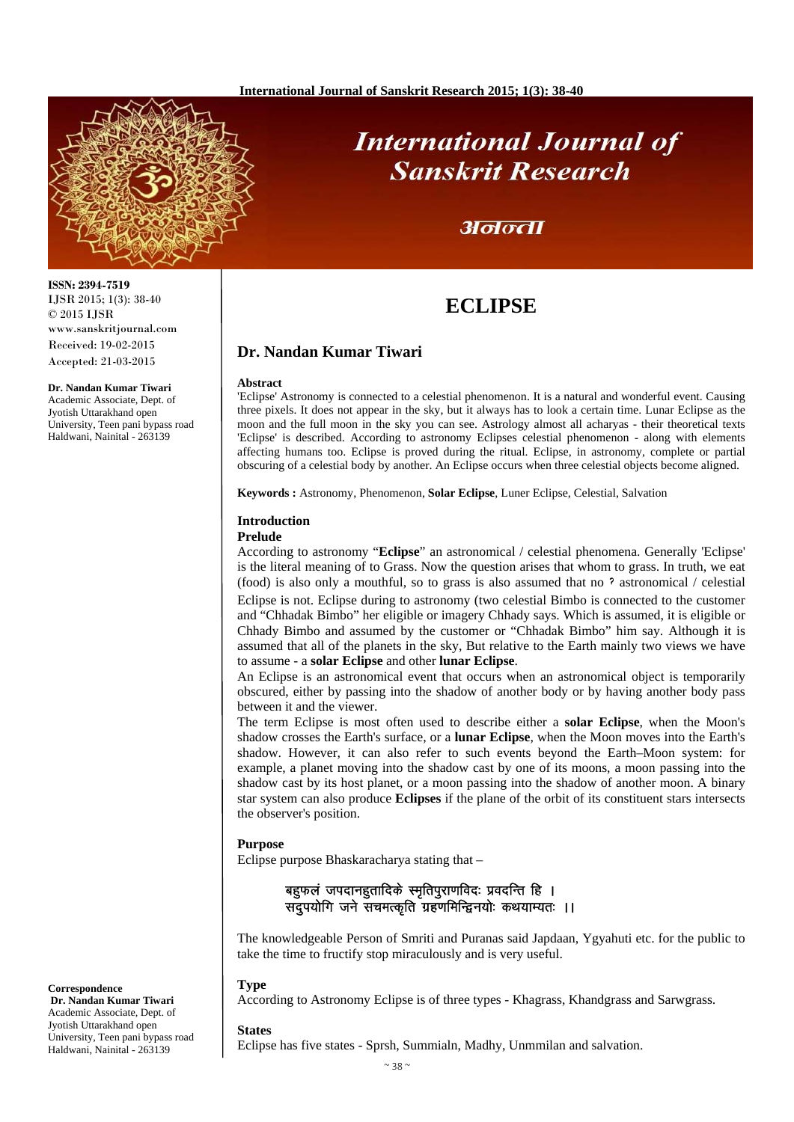# **International Journal of Sanskrit Research**

## अनन्ता

## **ECLIPSE**

## **Dr. Nandan Kumar Tiwari**

#### **Abstract**

'Eclipse' Astronomy is connected to a celestial phenomenon. It is a natural and wonderful event. Causing three pixels. It does not appear in the sky, but it always has to look a certain time. Lunar Eclipse as the moon and the full moon in the sky you can see. Astrology almost all acharyas - their theoretical texts 'Eclipse' is described. According to astronomy Eclipses celestial phenomenon - along with elements affecting humans too. Eclipse is proved during the ritual. Eclipse, in astronomy, complete or partial obscuring of a celestial body by another. An Eclipse occurs when three celestial objects become aligned.

**Keywords :** Astronomy, Phenomenon, **Solar Eclipse**, Luner Eclipse, Celestial, Salvation

### **Introduction**

#### **Prelude**

According to astronomy "**Eclipse**" an astronomical / celestial phenomena. Generally 'Eclipse' is the literal meaning of to Grass. Now the question arises that whom to grass. In truth, we eat (food) is also only a mouthful, so to grass is also assumed that no **ॽ** astronomical / celestial Eclipse is not. Eclipse during to astronomy (two celestial Bimbo is connected to the customer and "Chhadak Bimbo" her eligible or imagery Chhady says. Which is assumed, it is eligible or Chhady Bimbo and assumed by the customer or "Chhadak Bimbo" him say. Although it is assumed that all of the planets in the sky, But relative to the Earth mainly two views we have to assume - a **solar Eclipse** and other **lunar Eclipse**.

An Eclipse is an astronomical event that occurs when an astronomical object is temporarily obscured, either by passing into the shadow of another body or by having another body pass between it and the viewer.

The term Eclipse is most often used to describe either a **solar Eclipse**, when the Moon's shadow crosses the Earth's surface, or a **lunar Eclipse**, when the Moon moves into the Earth's shadow. However, it can also refer to such events beyond the Earth–Moon system: for example, a planet moving into the shadow cast by one of its moons, a moon passing into the shadow cast by its host planet, or a moon passing into the shadow of another moon. A binary star system can also produce **Eclipses** if the plane of the orbit of its constituent stars intersects the observer's position.

#### **Purpose**

Eclipse purpose Bhaskaracharya stating that –

बहुफलं जपदानहुतादिके स्मृतिपुराणविदः प्रवदन्ति हि । सदुपयोगि जने सचमत्कृति ग्रहणमिन्द्विनयोः कथयाम्यतः ।।

The knowledgeable Person of Smriti and Puranas said Japdaan, Ygyahuti etc. for the public to take the time to fructify stop miraculously and is very useful.

#### **Type**

According to Astronomy Eclipse is of three types - Khagrass, Khandgrass and Sarwgrass.

#### **States**

Eclipse has five states - Sprsh, Summialn, Madhy, Unmmilan and salvation.

#### **ISSN: 2394-7519** IJSR 2015; 1(3): 38-40 © 2015 IJSR www.sanskritjournal.com Received: 19-02-2015 Accepted: 21-03-2015

**Dr. Nandan Kumar Tiwari**  Academic Associate, Dept. of Jyotish Uttarakhand open University, Teen pani bypass road Haldwani, Nainital - 263139



 **Dr. Nandan Kumar Tiwari**  Academic Associate, Dept. of Jyotish Uttarakhand open University, Teen pani bypass road Haldwani, Nainital - 263139

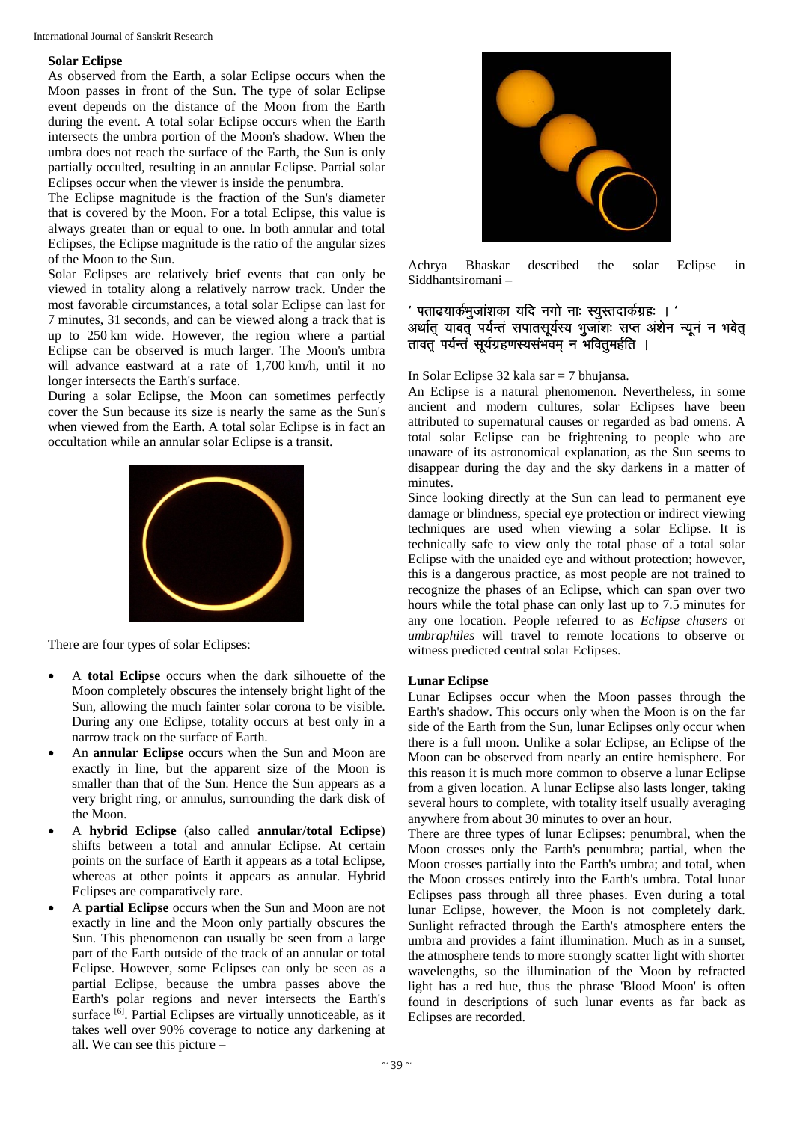#### International Journal of Sanskrit Research

#### **Solar Eclipse**

As observed from the Earth, a solar Eclipse occurs when the Moon passes in front of the Sun. The type of solar Eclipse event depends on the distance of the Moon from the Earth during the event. A total solar Eclipse occurs when the Earth intersects the umbra portion of the Moon's shadow. When the umbra does not reach the surface of the Earth, the Sun is only partially occulted, resulting in an annular Eclipse. Partial solar Eclipses occur when the viewer is inside the penumbra.

The Eclipse magnitude is the fraction of the Sun's diameter that is covered by the Moon. For a total Eclipse, this value is always greater than or equal to one. In both annular and total Eclipses, the Eclipse magnitude is the ratio of the angular sizes of the Moon to the Sun.

Solar Eclipses are relatively brief events that can only be viewed in totality along a relatively narrow track. Under the most favorable circumstances, a total solar Eclipse can last for 7 minutes, 31 seconds, and can be viewed along a track that is up to 250 km wide. However, the region where a partial Eclipse can be observed is much larger. The Moon's umbra will advance eastward at a rate of 1,700 km/h, until it no longer intersects the Earth's surface.

During a solar Eclipse, the Moon can sometimes perfectly cover the Sun because its size is nearly the same as the Sun's when viewed from the Earth. A total solar Eclipse is in fact an occultation while an annular solar Eclipse is a transit.



There are four types of solar Eclipses:

- A **total Eclipse** occurs when the dark silhouette of the Moon completely obscures the intensely bright light of the Sun, allowing the much fainter solar corona to be visible. During any one Eclipse, totality occurs at best only in a narrow track on the surface of Earth.
- An **annular Eclipse** occurs when the Sun and Moon are exactly in line, but the apparent size of the Moon is smaller than that of the Sun. Hence the Sun appears as a very bright ring, or annulus, surrounding the dark disk of the Moon.
- A **hybrid Eclipse** (also called **annular/total Eclipse**) shifts between a total and annular Eclipse. At certain points on the surface of Earth it appears as a total Eclipse, whereas at other points it appears as annular. Hybrid Eclipses are comparatively rare.
- A **partial Eclipse** occurs when the Sun and Moon are not exactly in line and the Moon only partially obscures the Sun. This phenomenon can usually be seen from a large part of the Earth outside of the track of an annular or total Eclipse. However, some Eclipses can only be seen as a partial Eclipse, because the umbra passes above the Earth's polar regions and never intersects the Earth's surface <sup>[6]</sup>. Partial Eclipses are virtually unnoticeable, as it takes well over 90% coverage to notice any darkening at all. We can see this picture –



Achrya Bhaskar described the solar Eclipse in Siddhantsiromani –

### $\,$ ' पताढयार्कभुजांशका यदि नगो नाः स्युस्तदार्कग्रहः । ' अर्थात् यावत् पर्यन्तं सपातसूर्यस्य भुजांशः सप्त अंशेन न्यूनं न भवेत् तावत पर्यन्तं सूर्यग्रहणस्यसंभवम् न भवितुमर्हति ।

In Solar Eclipse 32 kala sar = 7 bhujansa.

An Eclipse is a natural phenomenon. Nevertheless, in some ancient and modern cultures, solar Eclipses have been attributed to supernatural causes or regarded as bad omens. A total solar Eclipse can be frightening to people who are unaware of its astronomical explanation, as the Sun seems to disappear during the day and the sky darkens in a matter of minutes.

Since looking directly at the Sun can lead to permanent eye damage or blindness, special eye protection or indirect viewing techniques are used when viewing a solar Eclipse. It is technically safe to view only the total phase of a total solar Eclipse with the unaided eye and without protection; however, this is a dangerous practice, as most people are not trained to recognize the phases of an Eclipse, which can span over two hours while the total phase can only last up to 7.5 minutes for any one location. People referred to as *Eclipse chasers* or *umbraphiles* will travel to remote locations to observe or witness predicted central solar Eclipses.

#### **Lunar Eclipse**

Lunar Eclipses occur when the Moon passes through the Earth's shadow. This occurs only when the Moon is on the far side of the Earth from the Sun, lunar Eclipses only occur when there is a full moon. Unlike a solar Eclipse, an Eclipse of the Moon can be observed from nearly an entire hemisphere. For this reason it is much more common to observe a lunar Eclipse from a given location. A lunar Eclipse also lasts longer, taking several hours to complete, with totality itself usually averaging anywhere from about 30 minutes to over an hour.

There are three types of lunar Eclipses: penumbral, when the Moon crosses only the Earth's penumbra; partial, when the Moon crosses partially into the Earth's umbra; and total, when the Moon crosses entirely into the Earth's umbra. Total lunar Eclipses pass through all three phases. Even during a total lunar Eclipse, however, the Moon is not completely dark. Sunlight refracted through the Earth's atmosphere enters the umbra and provides a faint illumination. Much as in a sunset, the atmosphere tends to more strongly scatter light with shorter wavelengths, so the illumination of the Moon by refracted light has a red hue, thus the phrase 'Blood Moon' is often found in descriptions of such lunar events as far back as Eclipses are recorded.